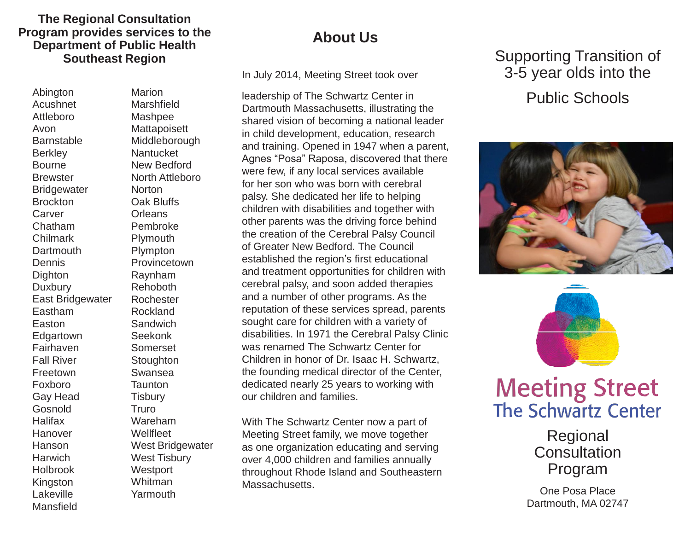#### **The Regional Consultation Program provides services to the Department of Public Health Southeast Region**

Abington Acushnet Attleboro Avon **Barnstable Berkley Bourne Brewster Bridgewater Brockton** Carver Chatham Chilmark **Dartmouth Dennis Dighton Duxbury** East Bridgewater Eastham Easton **Edgartown** Fairhaven Fall River Freetown Foxboro Gay Head Gosnold Halifax Hanover **Hanson Harwich** Holbrook Kingston Lakeville Mansfield

Marion Marshfield Mashpee **Mattapoisett** Middleborough **Nantucket** New Bedford North Attleboro **Norton** Oak Bluffs **Orleans** Pembroke Plymouth Plympton **Provincetown** Raynham Rehoboth Rochester Rockland **Sandwich** Seekonk Somerset **Stoughton** Swansea **Taunton Tisbury** Truro Wareham **Wellfleet** West Bridgewater West Tisbury **Westport** Whitman Yarmouth

### **About Us**

In July 2014, Meeting Street took over

leadership of The Schwartz Center in Dartmouth Massachusetts, illustrating the shared vision of becoming a national leader in child development, education, research and training. Opened in 1947 when a parent, Agnes "Posa" Raposa, discovered that there were few, if any local services available for her son who was born with cerebral palsy. She dedicated her life to helping children with disabilities and together with other parents was the driving force behind the creation of the Cerebral Palsy Council of Greater New Bedford. The Council established the region's first educational and treatment opportunities for children with cerebral palsy, and soon added therapies and a number of other programs. As the reputation of these services spread, parents sought care for children with a variety of disabilities. In 1971 the Cerebral Palsy Clinic was renamed The Schwartz Center for Children in honor of Dr. Isaac H. Schwartz, the founding medical director of the Center, dedicated nearly 25 years to working with our children and families.

With The Schwartz Center now a part of Meeting Street family, we move together as one organization educating and serving over 4,000 children and families annually throughout Rhode Island and Southeastern Massachusetts.

## Supporting Transition of 3-5 year olds into the Public Schools





# **Meeting Street The Schwartz Center**

Regional **Consultation** Program

One Posa Place Dartmouth, MA 02747